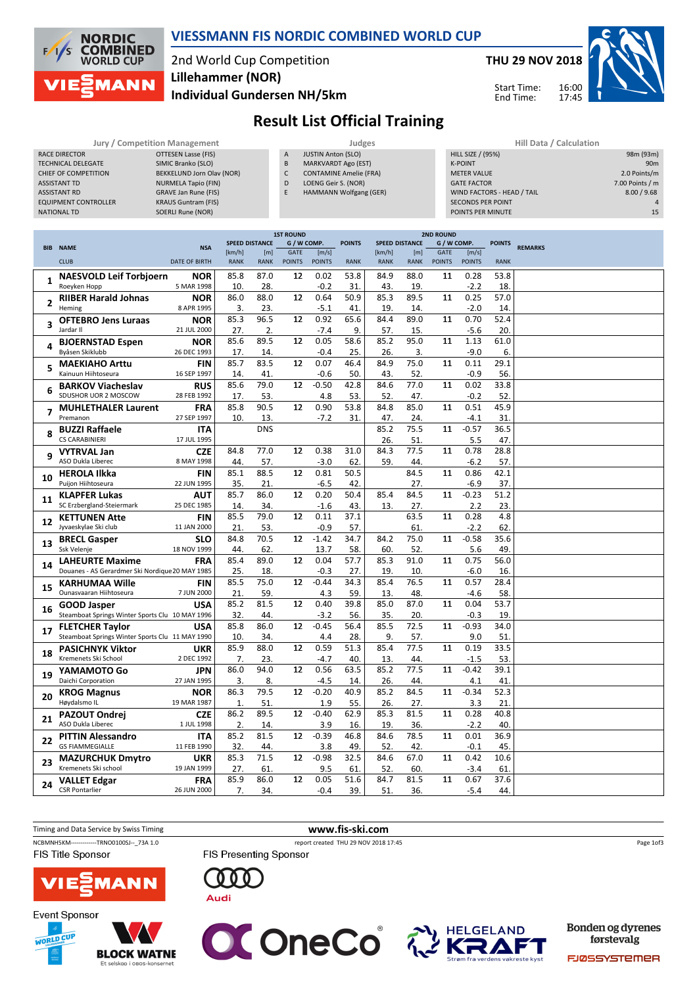

#### VIESSMANN FIS NORDIC COMBINED WORLD CUP

### 2nd World Cup Competition Individual Gundersen NH/5km Lillehammer (NOR)







## Result List Official Training

|                             | Jury / Competition Management |   | Judges                        | Hill Data / Calculation    |                 |  |  |
|-----------------------------|-------------------------------|---|-------------------------------|----------------------------|-----------------|--|--|
| <b>RACE DIRECTOR</b>        | OTTESEN Lasse (FIS)           | A | <b>JUSTIN Anton (SLO)</b>     | <b>HILL SIZE / (95%)</b>   | 98m (93m)       |  |  |
| <b>TECHNICAL DELEGATE</b>   | SIMIC Branko (SLO)            | B | <b>MARKVARDT Ago (EST)</b>    | <b>K-POINT</b>             | 90 <sub>m</sub> |  |  |
| CHIEF OF COMPETITION        | BEKKELUND Jorn Olav (NOR)     |   | <b>CONTAMINE Amelie (FRA)</b> | <b>METER VALUE</b>         | 2.0 Points/m    |  |  |
| <b>ASSISTANT TD</b>         | NURMELA Tapio (FIN)           | D | LOENG Geir S. (NOR)           | <b>GATE FACTOR</b>         | 7.00 Points / m |  |  |
| <b>ASSISTANT RD</b>         | <b>GRAVE Jan Rune (FIS)</b>   |   | HAMMANN Wolfgang (GER)        | WIND FACTORS - HEAD / TAIL | 8.00 / 9.68     |  |  |
| <b>EQUIPMENT CONTROLLER</b> | <b>KRAUS Guntram (FIS)</b>    |   |                               | <b>SECONDS PER POINT</b>   |                 |  |  |
| <b>NATIONAL TD</b>          | SOERLI Rune (NOR)             |   |                               | POINTS PER MINUTE          | 15              |  |  |

|                         |                                                 |                      | <b>1ST ROUND</b>      |             |               |               |               |                       |             | <b>2ND ROUND</b> |               |               |                |
|-------------------------|-------------------------------------------------|----------------------|-----------------------|-------------|---------------|---------------|---------------|-----------------------|-------------|------------------|---------------|---------------|----------------|
|                         | <b>BIB NAME</b>                                 | <b>NSA</b>           | <b>SPEED DISTANCE</b> |             | G / W COMP.   |               | <b>POINTS</b> | <b>SPEED DISTANCE</b> |             | G / W COMP.      |               | <b>POINTS</b> | <b>REMARKS</b> |
|                         |                                                 |                      | [km/h]                | [m]         | <b>GATE</b>   | [m/s]         |               | [km/h]                | [m]         | GATE             | [m/s]         |               |                |
|                         | <b>CLUB</b>                                     | <b>DATE OF BIRTH</b> | <b>RANK</b>           | <b>RANK</b> | <b>POINTS</b> | <b>POINTS</b> | <b>RANK</b>   | <b>RANK</b>           | <b>RANK</b> | <b>POINTS</b>    | <b>POINTS</b> | <b>RANK</b>   |                |
|                         | <b>NAESVOLD Leif Torbjoern</b>                  | <b>NOR</b>           | 85.8                  | 87.0        | 12            | 0.02          | 53.8          | 84.9                  | 88.0        | 11               | 0.28          | 53.8          |                |
| 1                       | Roeyken Hopp                                    | 5 MAR 1998           | 10.                   | 28.         |               | $-0.2$        | 31            | 43.                   | 19.         |                  | $-2.2$        | 18.           |                |
|                         |                                                 |                      | 86.0                  | 88.0        | 12            | 0.64          | 50.9          | 85.3                  | 89.5        | 11               | 0.25          | 57.0          |                |
| $\overline{\mathbf{2}}$ | <b>RIIBER Harald Johnas</b>                     | <b>NOR</b>           |                       |             |               |               |               |                       |             |                  |               |               |                |
|                         | Heming                                          | 8 APR 1995           | 3.                    | 23.         |               | $-5.1$        | 41            | 19.                   | 14.         |                  | $-2.0$        | 14.           |                |
| 3                       | <b>OFTEBRO Jens Luraas</b>                      | <b>NOR</b>           | 85.3                  | 96.5        | 12            | 0.92          | 65.6          | 84.4                  | 89.0        | 11               | 0.70          | 52.4          |                |
|                         | Jardar II                                       | 21 JUL 2000          | 27.                   | 2.          |               | $-7.4$        | 9.            | 57.                   | 15.         |                  | $-5.6$        | 20.           |                |
| 4                       | <b>BJOERNSTAD Espen</b>                         | <b>NOR</b>           | 85.6                  | 89.5        | 12            | 0.05          | 58.6          | 85.2                  | 95.0        | 11               | 1.13          | 61.0          |                |
|                         | Byåsen Skiklubb                                 | 26 DEC 1993          | 17.                   | 14.         |               | $-0.4$        | 25.           | 26.                   | 3.          |                  | $-9.0$        | 6.            |                |
|                         | <b>MAEKIAHO Arttu</b>                           | <b>FIN</b>           | 85.7                  | 83.5        | 12            | 0.07          | 46.4          | 84.9                  | 75.0        | 11               | 0.11          | 29.1          |                |
| 5                       | Kainuun Hiihtoseura                             | 16 SEP 1997          | 14.                   | 41.         |               | $-0.6$        | 50.           | 43.                   | 52.         |                  | $-0.9$        | 56.           |                |
|                         | <b>BARKOV Viacheslav</b>                        | <b>RUS</b>           | 85.6                  | 79.0        | 12            | $-0.50$       | 42.8          | 84.6                  | 77.0        | 11               | 0.02          | 33.8          |                |
| 6                       | SDUSHOR UOR 2 MOSCOW                            | 28 FEB 1992          | 17.                   | 53.         |               | 4.8           | 53.           | 52.                   | 47.         |                  | $-0.2$        | 52.           |                |
|                         |                                                 |                      |                       |             |               |               |               |                       |             |                  |               |               |                |
| 7                       | <b>MUHLETHALER Laurent</b>                      | <b>FRA</b>           | 85.8                  | 90.5        | 12            | 0.90          | 53.8          | 84.8                  | 85.0        | 11               | 0.51          | 45.9          |                |
|                         | Premanon                                        | 27 SEP 1997          | 10.                   | 13.         |               | $-7.2$        | 31.           | 47.                   | 24.         |                  | -4.1          | 31.           |                |
| 8                       | <b>BUZZI Raffaele</b>                           | ITA                  |                       | <b>DNS</b>  |               |               |               | 85.2                  | 75.5        | 11               | $-0.57$       | 36.5          |                |
|                         | <b>CS CARABINIERI</b>                           | 17 JUL 1995          |                       |             |               |               |               | 26.                   | 51.         |                  | 5.5           | 47.           |                |
|                         | <b>VYTRVAL Jan</b>                              | <b>CZE</b>           | 84.8                  | 77.0        | 12            | 0.38          | 31.0          | 84.3                  | 77.5        | 11               | 0.78          | 28.8          |                |
| 9                       | ASO Dukla Liberec                               | 8 MAY 1998           | 44.                   | 57.         |               | $-3.0$        | 62.           | 59.                   | 44.         |                  | $-6.2$        | 57.           |                |
|                         | <b>HEROLA Ilkka</b>                             | <b>FIN</b>           | 85.1                  | 88.5        | 12            | 0.81          | 50.5          |                       | 84.5        | 11               | 0.86          | 42.1          |                |
| 10                      | Puijon Hiihtoseura                              | 22 JUN 1995          | 35.                   | 21.         |               | $-6.5$        | 42.           |                       | 27.         |                  | $-6.9$        | 37.           |                |
|                         | <b>KLAPFER Lukas</b>                            | AUT                  | 85.7                  | 86.0        | 12            | 0.20          | 50.4          | 85.4                  | 84.5        | 11               | $-0.23$       | 51.2          |                |
| 11                      | SC Erzbergland-Steiermark                       | 25 DEC 1985          |                       |             |               |               |               |                       |             |                  | 2.2           |               |                |
|                         |                                                 |                      | 14.<br>85.5           | 34.<br>79.0 |               | $-1.6$        | 43.<br>37.1   | 13.                   | 27.         | 11               |               | 23.           |                |
| 12                      | <b>KETTUNEN Atte</b>                            | <b>FIN</b>           |                       |             | 12            | 0.11          |               |                       | 63.5        |                  | 0.28          | 4.8           |                |
|                         | Jyvaeskylae Ski club                            | 11 JAN 2000          | 21                    | 53.         |               | $-0.9$        | 57.           |                       | 61.         |                  | $-2.2$        | 62.           |                |
| 13                      | <b>BRECL Gasper</b>                             | <b>SLO</b>           | 84.8                  | 70.5        | 12            | $-1.42$       | 34.7          | 84.2                  | 75.0        | 11               | $-0.58$       | 35.6          |                |
|                         | Ssk Velenje                                     | 18 NOV 1999          | 44.                   | 62.         |               | 13.7          | 58.           | 60.                   | 52.         |                  | 5.6           | 49.           |                |
| 14                      | <b>LAHEURTE Maxime</b>                          | <b>FRA</b>           | 85.4                  | 89.0        | 12            | 0.04          | 57.7          | 85.3                  | 91.0        | 11               | 0.75          | 56.0          |                |
|                         | Douanes - AS Gerardmer Ski Nordique 20 MAY 1985 |                      | 25.                   | 18.         |               | $-0.3$        | 27.           | 19.                   | 10.         |                  | $-6.0$        | 16.           |                |
|                         | <b>KARHUMAA Wille</b>                           | <b>FIN</b>           | 85.5                  | 75.0        | 12            | $-0.44$       | 34.3          | 85.4                  | 76.5        | 11               | 0.57          | 28.4          |                |
| 15                      | Ounasvaaran Hiihtoseura                         | 7 JUN 2000           | 21.                   | 59.         |               | 4.3           | 59.           | 13.                   | 48.         |                  | $-4.6$        | 58.           |                |
|                         | <b>GOOD Jasper</b>                              | <b>USA</b>           | 85.2                  | 81.5        | 12            | 0.40          | 39.8          | 85.0                  | 87.0        | 11               | 0.04          | 53.7          |                |
| 16                      | Steamboat Springs Winter Sports Clu 10 MAY 1996 |                      | 32.                   | 44.         |               | $-3.2$        | 56.           | 35.                   | 20.         |                  | $-0.3$        | 19.           |                |
|                         |                                                 |                      | 85.8                  | 86.0        | 12            | $-0.45$       | 56.4          | 85.5                  | 72.5        | 11               | $-0.93$       | 34.0          |                |
| 17                      | <b>FLETCHER Taylor</b>                          | USA                  |                       |             |               |               |               |                       |             |                  |               |               |                |
|                         | Steamboat Springs Winter Sports Clu 11 MAY 1990 |                      | 10.                   | 34.         |               | 4.4           | 28.           | 9.                    | 57.         |                  | 9.0           | 51            |                |
| 18                      | <b>PASICHNYK Viktor</b>                         | <b>UKR</b>           | 85.9                  | 88.0        | 12            | 0.59          | 51.3          | 85.4                  | 77.5        | 11               | 0.19          | 33.5          |                |
|                         | Kremenets Ski School                            | 2 DEC 1992           | 7.                    | 23.         |               | $-4.7$        | 40.           | 13.                   | 44.         |                  | $-1.5$        | 53.           |                |
| 19                      | YAMAMOTO Go                                     | <b>JPN</b>           | 86.0                  | 94.0        | 12            | 0.56          | 63.5          | 85.2                  | 77.5        | 11               | $-0.42$       | 39.1          |                |
|                         | Daichi Corporation                              | 27 JAN 1995          | 3.                    | 8.          |               | $-4.5$        | 14.           | 26.                   | 44.         |                  | 4.1           | 41.           |                |
|                         | <b>KROG Magnus</b>                              | <b>NOR</b>           | 86.3                  | 79.5        | 12            | $-0.20$       | 40.9          | 85.2                  | 84.5        | 11               | $-0.34$       | 52.3          |                |
| 20                      | Høydalsmo IL                                    | 19 MAR 1987          | 1.                    | 51.         |               | 1.9           | 55.           | 26.                   | 27.         |                  | 3.3           | 21.           |                |
|                         | <b>PAZOUT Ondrej</b>                            | <b>CZE</b>           | 86.2                  | 89.5        | 12            | $-0.40$       | 62.9          | 85.3                  | 81.5        | 11               | 0.28          | 40.8          |                |
| 21                      | ASO Dukla Liberec                               | 1 JUL 1998           | $\overline{2}$        | 14.         |               | 3.9           | 16.           | 19.                   | 36.         |                  | $-2.2$        | 40.           |                |
|                         | <b>PITTIN Alessandro</b>                        | <b>ITA</b>           | 85.2                  | 81.5        | 12            | $-0.39$       | 46.8          | 84.6                  | 78.5        | 11               | 0.01          | 36.9          |                |
| 22                      | <b>GS FIAMMEGIALLE</b>                          | 11 FEB 1990          | 32.                   | 44.         |               | 3.8           | 49.           | 52.                   | 42.         |                  | $-0.1$        | 45.           |                |
|                         |                                                 |                      |                       |             |               | $-0.98$       |               |                       |             |                  |               |               |                |
| 23                      | <b>MAZURCHUK Dmytro</b>                         | <b>UKR</b>           | 85.3                  | 71.5        | 12            |               | 32.5          | 84.6                  | 67.0        | 11               | 0.42          | 10.6          |                |
|                         | Kremenets Ski school                            | 19 JAN 1999          | 27.                   | 61.         |               | 9.5           | 61.           | 52.                   | 60.         |                  | $-3.4$        | 61.           |                |
| 24                      | <b>VALLET Edgar</b>                             | <b>FRA</b>           | 85.9                  | 86.0        | 12            | 0.05          | 51.6          | 84.7                  | 81.5        | 11               | 0.67          | 37.6          |                |
|                         | <b>CSR Pontarlier</b>                           | 26 JUN 2000          | 7.                    | 34.         |               | $-0.4$        | 39.           | 51.                   | 36.         |                  | $-5.4$        | 44.           |                |

Timing and Data Service by Swiss Timing WWW.fis-ski.com NCBMNH5KM--------------TRNO0100SJ--\_73A 1.0 report created THU 29 NOV 2018 17:45 Page 1of3FIS Title Sponsor FIS Presenting Sponsor  $000$  $\sqrt{15}$ **MANN Audi Event Sponsor HELGELAND** 









FJØSSYSTEMER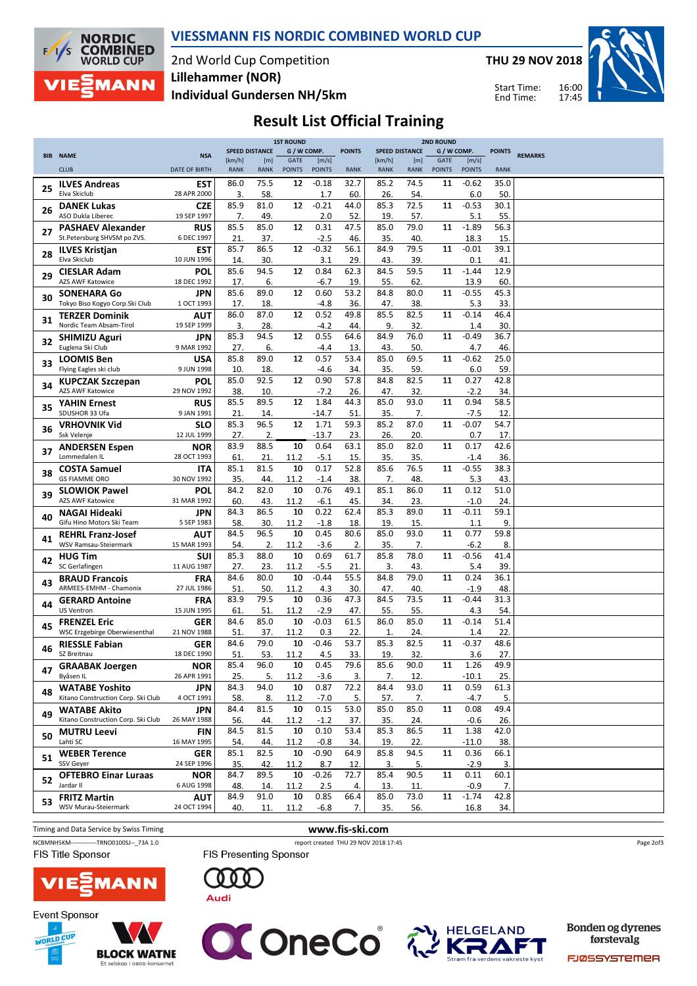

VIESSMANN FIS NORDIC COMBINED WORLD CUP

2nd World Cup Competition Individual Gundersen NH/5km Lillehammer (NOR)

THU 29 NOV 2018

Start Time: End Time:



# Result List Official Training

|    |                                                             | <b>1ST ROUND</b>          |                       |                    |                       |                        |               |                       | <b>2ND ROUND</b>   |                       |                        |               |                |
|----|-------------------------------------------------------------|---------------------------|-----------------------|--------------------|-----------------------|------------------------|---------------|-----------------------|--------------------|-----------------------|------------------------|---------------|----------------|
|    | <b>BIB NAME</b>                                             | <b>NSA</b>                | <b>SPEED DISTANCE</b> |                    | G / W COMP.           |                        | <b>POINTS</b> | <b>SPEED DISTANCE</b> |                    | G / W COMP.           |                        | <b>POINTS</b> | <b>REMARKS</b> |
|    | <b>CLUB</b>                                                 | <b>DATE OF BIRTH</b>      | [km/h]<br><b>RANK</b> | [m]<br><b>RANK</b> | GATE<br><b>POINTS</b> | [m/s]<br><b>POINTS</b> | <b>RANK</b>   | [km/h]<br><b>RANK</b> | [m]<br><b>RANK</b> | GATE<br><b>POINTS</b> | [m/s]<br><b>POINTS</b> | <b>RANK</b>   |                |
|    | <b>ILVES Andreas</b>                                        | EST                       | 86.0                  | 75.5               | 12                    | $-0.18$                | 32.7          | 85.2                  | 74.5               | 11                    | $-0.62$                | 35.0          |                |
| 25 | Elva Skiclub                                                | 28 APR 2000               | 3.                    | 58.                |                       | 1.7                    | 60.           | 26.                   | 54.                |                       | 6.0                    | 50.           |                |
|    | <b>DANEK Lukas</b>                                          | <b>CZE</b>                | 85.9                  | 81.0               | 12                    | $-0.21$                | 44.0          | 85.3                  | 72.5               | 11                    | $-0.53$                | 30.1          |                |
| 26 | ASO Dukla Liberec                                           | 19 SEP 1997               | 7.                    | 49.                |                       | 2.0                    | 52.           | 19                    | 57.                |                       | 5.1                    | 55.           |                |
| 27 | <b>PASHAEV Alexander</b>                                    | <b>RUS</b>                | 85.5                  | 85.0               | 12                    | 0.31                   | 47.5          | 85.0                  | 79.0               | 11                    | $-1.89$                | 56.3          |                |
|    | St.Petersburg SHVSM po ZVS.                                 | 6 DEC 1997                | 21.                   | 37.                |                       | $-2.5$                 | 46.           | 35.                   | 40.                |                       | 18.3                   | 15.           |                |
| 28 | <b>ILVES Kristjan</b>                                       | EST                       | 85.7                  | 86.5               | 12                    | $-0.32$                | 56.1          | 84.9                  | 79.5               | 11                    | $-0.01$                | 39.1          |                |
|    | Elva Skiclub                                                | 10 JUN 1996               | 14.                   | 30.                |                       | 3.1                    | 29.           | 43.                   | 39.                |                       | 0.1                    | 41.           |                |
| 29 | <b>CIESLAR Adam</b><br><b>AZS AWF Katowice</b>              | POL<br>18 DEC 1992        | 85.6<br>17.           | 94.5<br>6.         | 12                    | 0.84<br>-6.7           | 62.3<br>19.   | 84.5<br>55.           | 59.5<br>62.        | 11                    | $-1.44$<br>13.9        | 12.9<br>60.   |                |
|    | <b>SONEHARA Go</b>                                          | <b>JPN</b>                | 85.6                  | 89.0               | 12                    | 0.60                   | 53.2          | 84.8                  | 80.0               | 11                    | $-0.55$                | 45.3          |                |
| 30 | Tokyo Biso Kogyo Corp.Ski Club                              | 1 OCT 1993                | 17.                   | 18.                |                       | $-4.8$                 | 36.           | 47.                   | 38.                |                       | 5.3                    | 33.           |                |
|    | <b>TERZER Dominik</b>                                       | <b>AUT</b>                | 86.0                  | 87.0               | 12                    | 0.52                   | 49.8          | 85.5                  | 82.5               | 11                    | $-0.14$                | 46.4          |                |
| 31 | Nordic Team Absam-Tirol                                     | 19 SEP 1999               | 3.                    | 28.                |                       | $-4.2$                 | 44.           | 9.                    | 32.                |                       | 1.4                    | 30.           |                |
| 32 | <b>SHIMIZU Aguri</b>                                        | <b>JPN</b>                | 85.3                  | 94.5               | 12                    | 0.55                   | 64.6          | 84.9                  | 76.0               | 11                    | $-0.49$                | 36.7          |                |
|    | Euglena Ski Club                                            | 9 MAR 1992                | 27.                   | 6.                 |                       | -4.4                   | 13.           | 43.                   | 50.                |                       | 4.7                    | 46.           |                |
| 33 | <b>LOOMIS Ben</b>                                           | <b>USA</b>                | 85.8                  | 89.0               | 12                    | 0.57                   | 53.4          | 85.0                  | 69.5               | 11                    | $-0.62$                | 25.0          |                |
|    | Flying Eagles ski club                                      | 9 JUN 1998                | 10.<br>85.0           | 18.<br>92.5        | 12                    | $-4.6$<br>0.90         | 34.<br>57.8   | 35.<br>84.8           | 59.<br>82.5        | 11                    | 6.0<br>0.27            | 59.<br>42.8   |                |
| 34 | <b>KUPCZAK Szczepan</b><br><b>AZS AWF Katowice</b>          | <b>POL</b><br>29 NOV 1992 | 38.                   | 10.                |                       | $-7.2$                 | 26.           | 47.                   | 32.                |                       | $-2.2$                 | 34.           |                |
|    | <b>YAHIN Ernest</b>                                         | <b>RUS</b>                | 85.5                  | 89.5               | 12                    | 1.84                   | 44.3          | 85.0                  | 93.0               | 11                    | 0.94                   | 58.5          |                |
| 35 | SDUSHOR 33 Ufa                                              | 9 JAN 1991                | 21.                   | 14.                |                       | $-14.7$                | 51.           | 35.                   | 7.                 |                       | $-7.5$                 | 12.           |                |
|    | <b>VRHOVNIK Vid</b>                                         | <b>SLO</b>                | 85.3                  | 96.5               | 12                    | 1.71                   | 59.3          | 85.2                  | 87.0               | 11                    | $-0.07$                | 54.7          |                |
| 36 | Ssk Velenie                                                 | 12 JUL 1999               | 27.                   | 2.                 |                       | $-13.7$                | 23.           | 26.                   | 20.                |                       | 0.7                    | 17.           |                |
| 37 | <b>ANDERSEN Espen</b>                                       | <b>NOR</b>                | 83.9                  | 88.5               | 10                    | 0.64                   | 63.1          | 85.0                  | 82.0               | 11                    | 0.17                   | 42.6          |                |
|    | Lommedalen IL                                               | 28 OCT 1993               | 61                    | 21.                | 11.2                  | $-5.1$                 | 15.           | 35.                   | 35.                |                       | $-1.4$                 | 36.           |                |
| 38 | <b>COSTA Samuel</b>                                         | <b>ITA</b>                | 85.1                  | 81.5               | 10                    | 0.17                   | 52.8          | 85.6                  | 76.5               | 11                    | $-0.55$                | 38.3          |                |
|    | <b>GS FIAMME ORO</b>                                        | 30 NOV 1992               | 35.<br>84.2           | 44.<br>82.0        | 11.2<br>10            | $-1.4$<br>0.76         | 38.<br>49.1   | 7.<br>85.1            | 48.<br>86.0        | 11                    | 5.3<br>0.12            | 43.<br>51.0   |                |
| 39 | <b>SLOWIOK Pawel</b><br><b>AZS AWF Katowice</b>             | POL<br>31 MAR 1992        | 60                    | 43.                | 11.2                  | -6.1                   | 45.           | 34.                   | 23.                |                       | $-1.0$                 | 24.           |                |
|    | NAGAI Hideaki                                               | <b>JPN</b>                | 84.3                  | $86.\overline{5}$  | 10                    | 0.22                   | 62.4          | 85.3                  | 89.0               | 11                    | $-0.11$                | 59.1          |                |
| 40 | Gifu Hino Motors Ski Team                                   | 5 SEP 1983                | 58.                   | 30.                | 11.2                  | $-1.8$                 | 18.           | 19.                   | 15.                |                       | 1.1                    | 9.            |                |
| 41 | <b>REHRL Franz-Josef</b>                                    | <b>AUT</b>                | 84.5                  | 96.5               | 10                    | 0.45                   | 80.6          | 85.0                  | 93.0               | 11                    | 0.77                   | 59.8          |                |
|    | <b>WSV Ramsau-Steiermark</b>                                | 15 MAR 1993               | 54.                   | 2.                 | 11.2                  | $-3.6$                 | 2.            | 35.                   | 7.                 |                       | $-6.2$                 | 8.            |                |
| 42 | <b>HUG Tim</b>                                              | <b>SUI</b>                | 85.3                  | 88.0               | 10                    | 0.69                   | 61.7          | 85.8                  | 78.0               | 11                    | $-0.56$                | 41.4          |                |
|    | SC Gerlafingen                                              | 11 AUG 1987               | 27.                   | 23.                | 11.2                  | $-5.5$                 | 21.           | 3.                    | 43.                |                       | 5.4                    | 39.           |                |
| 43 | <b>BRAUD Francois</b><br>ARMEES-EMHM - Chamonix             | FRA                       | 84.6                  | 80.0               | 10                    | $-0.44$                | 55.5          | 84.8                  | 79.0               | 11                    | 0.24                   | 36.1          |                |
|    |                                                             | 27 JUL 1986<br>FRA        | 51.<br>83.9           | 50.<br>79.5        | 11.2<br>10            | 4.3<br>0.36            | 30.<br>47.3   | 47.<br>84.5           | 40.<br>73.5        | 11                    | $-1.9$<br>$-0.44$      | 48.<br>31.3   |                |
| 44 | <b>GERARD Antoine</b><br><b>US Ventron</b>                  | 15 JUN 1995               | 61.                   | 51.                | 11.2                  | $-2.9$                 | 47.           | 55.                   | 55.                |                       | 4.3                    | 54.           |                |
|    | <b>FRENZEL Eric</b>                                         | <b>GER</b>                | 84.6                  | 85.0               | 10                    | $-0.03$                | 61.5          | 86.0                  | 85.0               | 11                    | $-0.14$                | 51.4          |                |
| 45 | <b>WSC Erzgebirge Oberwiesenthal</b>                        | 21 NOV 1988               | 51                    | 37.                | 11.2                  | 0.3                    | 22.           | 1.                    | 24.                |                       | 1.4                    | 22.           |                |
| 46 | <b>RIESSLE Fabian</b>                                       | <b>GER</b>                | 84.6                  | 79.0               | 10                    | $-0.46$                | 53.7          | 85.3                  | 82.5               | 11                    | $-0.37$                | 48.6          |                |
|    | SZ Breitnau                                                 | 18 DEC 1990               | 51.                   | 53.                | 11.2                  | 4.5                    | 33.           | 19.                   | 32.                |                       | 3.6                    | 27.           |                |
| 47 | <b>GRAABAK Joergen</b>                                      | <b>NOR</b>                | 85.4                  | 96.0               | 10                    | 0.45                   | 79.6          | 85.6                  | 90.0               | 11                    | 1.26                   | 49.9          |                |
|    | Byåsen IL                                                   | 26 APR 1991               | 25.                   | 5.                 | 11.2                  | $-3.6$                 | 3.            | 7.                    | 12.                |                       | $-10.1$                | 25.           |                |
| 48 | <b>WATABE Yoshito</b><br>Kitano Construction Corp. Ski Club | JPN<br>4 OCT 1991         | 84.3<br>58.           | 94.0<br>8.         | 10                    | 0.87                   | 72.2          | 84.4<br>57.           | 93.0<br>7.         | 11                    | 0.59<br>$-4.7$         | 61.3<br>5.    |                |
|    | <b>WATABE Akito</b>                                         | JPN                       | 84.4                  | 81.5               | 11.2<br>10            | $-7.0$<br>0.15         | 5.<br>53.0    | 85.0                  | 85.0               | 11                    | 0.08                   | 49.4          |                |
| 49 | Kitano Construction Corp. Ski Club                          | 26 MAY 1988               | 56.                   | 44.                | 11.2                  | $-1.2$                 | 37.           | 35.                   | 24.                |                       | $-0.6$                 | 26.           |                |
|    | <b>MUTRU Leevi</b>                                          | FIN                       | 84.5                  | 81.5               | 10                    | 0.10                   | 53.4          | 85.3                  | 86.5               | 11                    | 1.38                   | 42.0          |                |
| 50 | Lahti SC                                                    | 16 MAY 1995               | 54.                   | 44.                | 11.2                  | $-0.8$                 | 34.           | 19.                   | 22.                |                       | $-11.0$                | 38.           |                |
| 51 | <b>WEBER Terence</b>                                        | <b>GER</b>                | 85.1                  | 82.5               | 10                    | $-0.90$                | 64.9          | 85.8                  | 94.5               | 11                    | 0.36                   | 66.1          |                |
|    | <b>SSV Gever</b>                                            | 24 SEP 1996               | 35.                   | 42.                | 11.2                  | 8.7                    | 12.           | 3.                    | 5.                 |                       | $-2.9$                 | 3.            |                |
| 52 | <b>OFTEBRO Einar Luraas</b>                                 | <b>NOR</b>                | 84.7                  | 89.5               | 10                    | $-0.26$                | 72.7          | 85.4                  | 90.5               | 11                    | 0.11                   | 60.1          |                |
|    | Jardar II                                                   | 6 AUG 1998                | 48.                   | 14.                | 11.2                  | 2.5                    | 4.            | 13.                   | 11.                |                       | -0.9<br>$-1.74$        | 7.            |                |
| 53 | <b>FRITZ Martin</b><br>WSV Murau-Steiermark                 | <b>AUT</b><br>24 OCT 1994 | 84.9<br>40.           | 91.0<br>11.        | 10<br>11.2            | 0.85<br>$-6.8$         | 66.4<br>7.    | 85.0<br>35.           | 73.0<br>56.        | 11                    | 16.8                   | 42.8<br>34.   |                |
|    |                                                             |                           |                       |                    |                       |                        |               |                       |                    |                       |                        |               |                |

Timing and Data Service by Swiss Timing WWW.fis-ski.com NCBMNH5KM-------------TRNO0100SJ--\_73A 1.0 report created THU 29 NOV 2018 17:45

FIS Title Sponsor

FIS Presenting Sponsor

Page 2of3









 $000$ 

**Audi** 



Bonden og dyrenes førstevalg

FJØSSYSTEMER